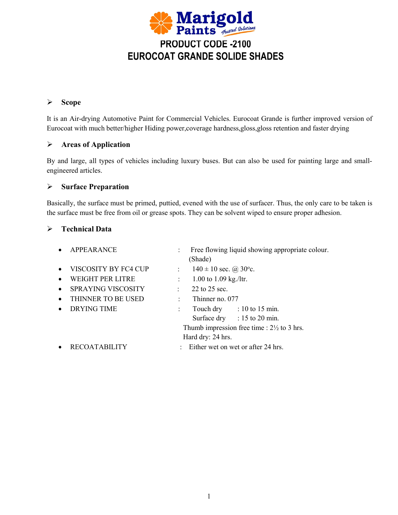

# **Scope**

It is an Air-drying Automotive Paint for Commercial Vehicles. Eurocoat Grande is further improved version of Eurocoat with much better/higher Hiding power,coverage hardness,gloss,gloss retention and faster drying

## **Areas ofApplication**

By and large, all types of vehicles including luxury buses. But can also be used for painting large and small engineered articles.

## **Surface Preparation**

Basically, the surface must be primed, puttied, evened with the use of surfacer. Thus, the only care to be taken is the surface must be free from oil or grease spots. They can be solvent wiped to ensure proper adhesion.

## **Technical Data**

| $\bullet$ | <b>APPEARANCE</b>         |                                                       | Free flowing liquid showing appropriate colour.<br>(Shade) |  |
|-----------|---------------------------|-------------------------------------------------------|------------------------------------------------------------|--|
| $\bullet$ | VISCOSITY BY FC4 CUP      |                                                       | $140 \pm 10$ sec. @ 30°c.                                  |  |
| $\bullet$ | <b>WEIGHT PER LITRE</b>   |                                                       | 1.00 to 1.09 kg./ltr.                                      |  |
| $\bullet$ | <b>SPRAYING VISCOSITY</b> |                                                       | 22 to 25 sec.                                              |  |
| $\bullet$ | THINNER TO BE USED        |                                                       | Thinner no. 077                                            |  |
| $\bullet$ | <b>DRYING TIME</b>        |                                                       | Touch dry $\therefore$ 10 to 15 min.                       |  |
|           |                           |                                                       | Surface dry : 15 to 20 min.                                |  |
|           |                           | Thumb impression free time : $2\frac{1}{2}$ to 3 hrs. |                                                            |  |
|           |                           |                                                       | Hard dry: 24 hrs.                                          |  |
|           | <b>RECOATABILITY</b>      |                                                       | Either wet on wet or after 24 hrs.                         |  |